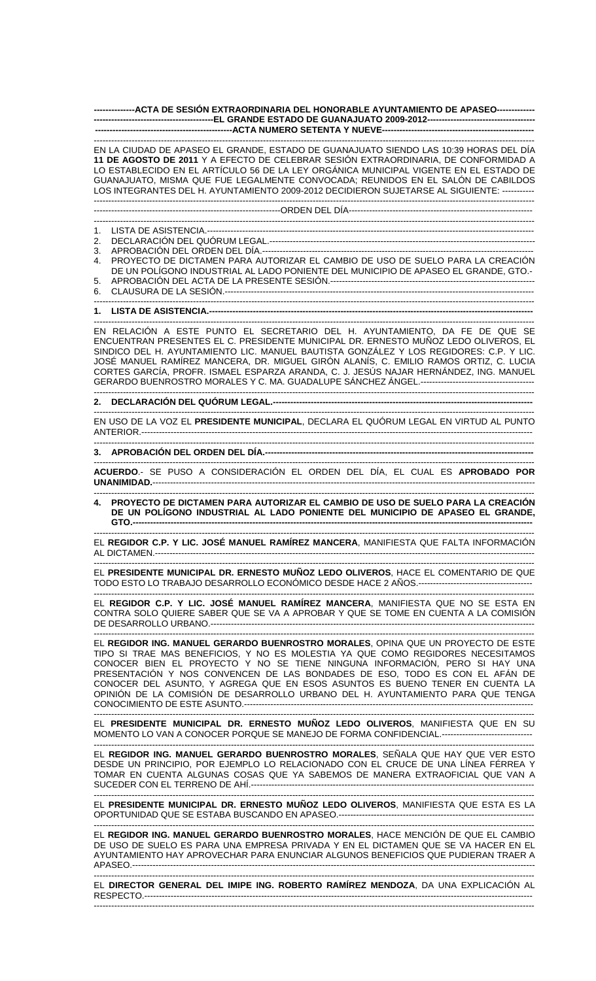**--------------ACTA DE SESIÓN EXTRAORDINARIA DEL HONORABLE AYUNTAMIENTO DE APASEO------------- -----------------------------------------EL GRANDE ESTADO DE GUANAJUATO 2009-2012------------------------------------- -----------------------------------------------ACTA NUMERO SETENTA Y NUEVE----------------------------------------------------** 

------------------------------------------------------------------------------------------------------------------------------------------------------- EN LA CIUDAD DE APASEO EL GRANDE, ESTADO DE GUANAJUATO SIENDO LAS 10:39 HORAS DEL DÍA **11 DE AGOSTO DE 2011** Y A EFECTO DE CELEBRAR SESIÓN EXTRAORDINARIA, DE CONFORMIDAD A LO ESTABLECIDO EN EL ARTÍCULO 56 DE LA LEY ORGÁNICA MUNICIPAL VIGENTE EN EL ESTADO DE GUANAJUATO, MISMA QUE FUE LEGALMENTE CONVOCADA; REUNIDOS EN EL SALÓN DE CABILDOS LOS INTEGRANTES DEL H. AYUNTAMIENTO 2009-2012 DECIDIERON SUJETARSE AL SIGUIENTE: ----------- -------------------------------------------------------------------------------------------------------------------------------------------------------

----------------------------------------------------------------ORDEN DEL DÍA---------------------------------------------------------------

------------------------------------------------------------------------------------------------------------------------------------------------------- 1. LISTA DE ASISTENCIA.----------------------------------------------------------------------------------------------------------------

2. DECLARACIÓN DEL QUÓRUM LEGAL.-------------------------------------------------------------------------------------------

3. APROBACIÓN DEL ORDEN DEL DÍA.---

4. PROYECTO DE DICTAMEN PARA AUTORIZAR EL CAMBIO DE USO DE SUELO PARA LA CREACIÓN DE UN POLÍGONO INDUSTRIAL AL LADO PONIENTE DEL MUNICIPIO DE APASEO EL GRANDE, GTO.- 5. APROBACIÓN DEL ACTA DE LA PRESENTE SESIÓN.---------------

6. CLAUSURA DE LA SESIÓN.----------------------------------------------------------------------------------------------------------

-------------------------------------------------------------------------------------------------------------------------------------------------------

**1. LISTA DE ASISTENCIA.---**

------------------------------------------------------------------------------------------------------------------------------------------------------- EN RELACIÓN A ESTE PUNTO EL SECRETARIO DEL H. AYUNTAMIENTO, DA FE DE QUE SE ENCUENTRAN PRESENTES EL C. PRESIDENTE MUNICIPAL DR. ERNESTO MUÑOZ LEDO OLIVEROS, EL SINDICO DEL H. AYUNTAMIENTO LIC. MANUEL BAUTISTA GONZÁLEZ Y LOS REGIDORES: C.P. Y LIC. JOSÉ MANUEL RAMÍREZ MANCERA, DR. MIGUEL GIRÓN ALANÍS, C. EMILIO RAMOS ORTIZ, C. LUCIA CORTES GARCÍA, PROFR. ISMAEL ESPARZA ARANDA, C. J. JESÚS NAJAR HERNÁNDEZ, ING. MANUEL GERARDO BUENROSTRO MORALES Y C. MA. GUADALUPE SÁNCHEZ ÁNGEL.---------------------------------------

------------------------------------------------------------------------------------------------------------------------------------------------------- 2. DECLARACIÓN DEL QUÓRUM LEGAL.--

------------------------------------------------------------------------------------------------------------------------------------------------------- EN USO DE LA VOZ EL **PRESIDENTE MUNICIPAL**, DECLARA EL QUÓRUM LEGAL EN VIRTUD AL PUNTO ANTERIOR.--------------------------------------------------------------------------------------------------------------------------------------

------------------------------------------------------------------------------------------------------------------------------------------------------- 3. APROBACIÓN DEL ORDEN DEL DÍA.----

------------------------------------------------------------------------------------------------------------------------------------------------------- **ACUERDO**.- SE PUSO A CONSIDERACIÓN EL ORDEN DEL DÍA, EL CUAL ES **APROBADO POR UNANIMIDAD.**-----------------------------------------------------------------------------------------------------------------------------------

------------------------------------------------------------------------------------------------------------------------------------------------------- **4. PROYECTO DE DICTAMEN PARA AUTORIZAR EL CAMBIO DE USO DE SUELO PARA LA CREACIÓN DE UN POLÍGONO INDUSTRIAL AL LADO PONIENTE DEL MUNICIPIO DE APASEO EL GRANDE, GTO.-----------------------------------------------------------------------------------------------------------------------------------------** 

------------------------------------------------------------------------------------------------------------------------------------------------------- EL **REGIDOR C.P. Y LIC. JOSÉ MANUEL RAMÍREZ MANCERA**, MANIFIESTA QUE FALTA INFORMACIÓN AL DICTAMEN.----------------------------------------------------------------------------------------------------------------------------------

------------------------------------------------------------------------------------------------------------------------------------------------------- EL **PRESIDENTE MUNICIPAL DR. ERNESTO MUÑOZ LEDO OLIVEROS**, HACE EL COMENTARIO DE QUE TODO ESTO LO TRABAJO DESARROLLO ECONÓMICO DESDE HACE 2 AÑOS.---------------------------------------

------------------------------------------------------------------------------------------------------------------------------------------------------- EL **REGIDOR C.P. Y LIC. JOSÉ MANUEL RAMÍREZ MANCERA**, MANIFIESTA QUE NO SE ESTA EN CONTRA SOLO QUIERE SABER QUE SE VA A APROBAR Y QUE SE TOME EN CUENTA A LA COMISIÓN DE DESARROLLO URBANO.---------------

------------------------------------------------------------------------------------------------------------------------------------------------------- EL **REGIDOR ING. MANUEL GERARDO BUENROSTRO MORALES**, OPINA QUE UN PROYECTO DE ESTE TIPO SI TRAE MAS BENEFICIOS, Y NO ES MOLESTIA YA QUE COMO REGIDORES NECESITAMOS CONOCER BIEN EL PROYECTO Y NO SE TIENE NINGUNA INFORMACIÓN, PERO SI HAY UNA PRESENTACIÓN Y NOS CONVENCEN DE LAS BONDADES DE ESO, TODO ES CON EL AFÁN DE CONOCER DEL ASUNTO, Y AGREGA QUE EN ESOS ASUNTOS ES BUENO TENER EN CUENTA LA OPINIÓN DE LA COMISIÓN DE DESARROLLO URBANO DEL H. AYUNTAMIENTO PARA QUE TENGA CONOCIMIENTO DE ESTE ASUNTO.------------------

------------------------------------------------------------------------------------------------------------------------------------------------------- EL **PRESIDENTE MUNICIPAL DR. ERNESTO MUÑOZ LEDO OLIVEROS**, MANIFIESTA QUE EN SU MOMENTO LO VAN A CONOCER PORQUE SE MANEJO DE FORMA CONFIDENCIAL.--------------------------------

-------------------------------------------------------------------------------------------------------------------------------------------------------

EL **REGIDOR ING. MANUEL GERARDO BUENROSTRO MORALES**, SEÑALA QUE HAY QUE VER ESTO DESDE UN PRINCIPIO, POR EJEMPLO LO RELACIONADO CON EL CRUCE DE UNA LÍNEA FÉRREA Y TOMAR EN CUENTA ALGUNAS COSAS QUE YA SABEMOS DE MANERA EXTRAOFICIAL QUE VAN A SUCEDER CON EL TERRENO DE AHÍ.------------------------------------------------------------------------------------------------- -------------------------------------------------------------------------------------------------------------------------------------------------------

EL **PRESIDENTE MUNICIPAL DR. ERNESTO MUÑOZ LEDO OLIVEROS**, MANIFIESTA QUE ESTA ES LA OPORTUNIDAD QUE SE ESTABA BUSCANDO EN APASEO.-------------------------------------------------------------------

------------------------------------------------------------------------------------------------------------------------------------------------------- EL **REGIDOR ING. MANUEL GERARDO BUENROSTRO MORALES**, HACE MENCIÓN DE QUE EL CAMBIO DE USO DE SUELO ES PARA UNA EMPRESA PRIVADA Y EN EL DICTAMEN QUE SE VA HACER EN EL AYUNTAMIENTO HAY APROVECHAR PARA ENUNCIAR ALGUNOS BENEFICIOS QUE PUDIERAN TRAER A APASEO.------------------------------------------------------------------------------------------------------------------------------------------

------------------------------------------------------------------------------------------------------------------------------------------------------- EL **DIRECTOR GENERAL DEL IMIPE ING. ROBERTO RAMÍREZ MENDOZA**, DA UNA EXPLICACIÓN AL RESPECTO.------------------------------------------------------------------------------------------------------------------------------------- -------------------------------------------------------------------------------------------------------------------------------------------------------